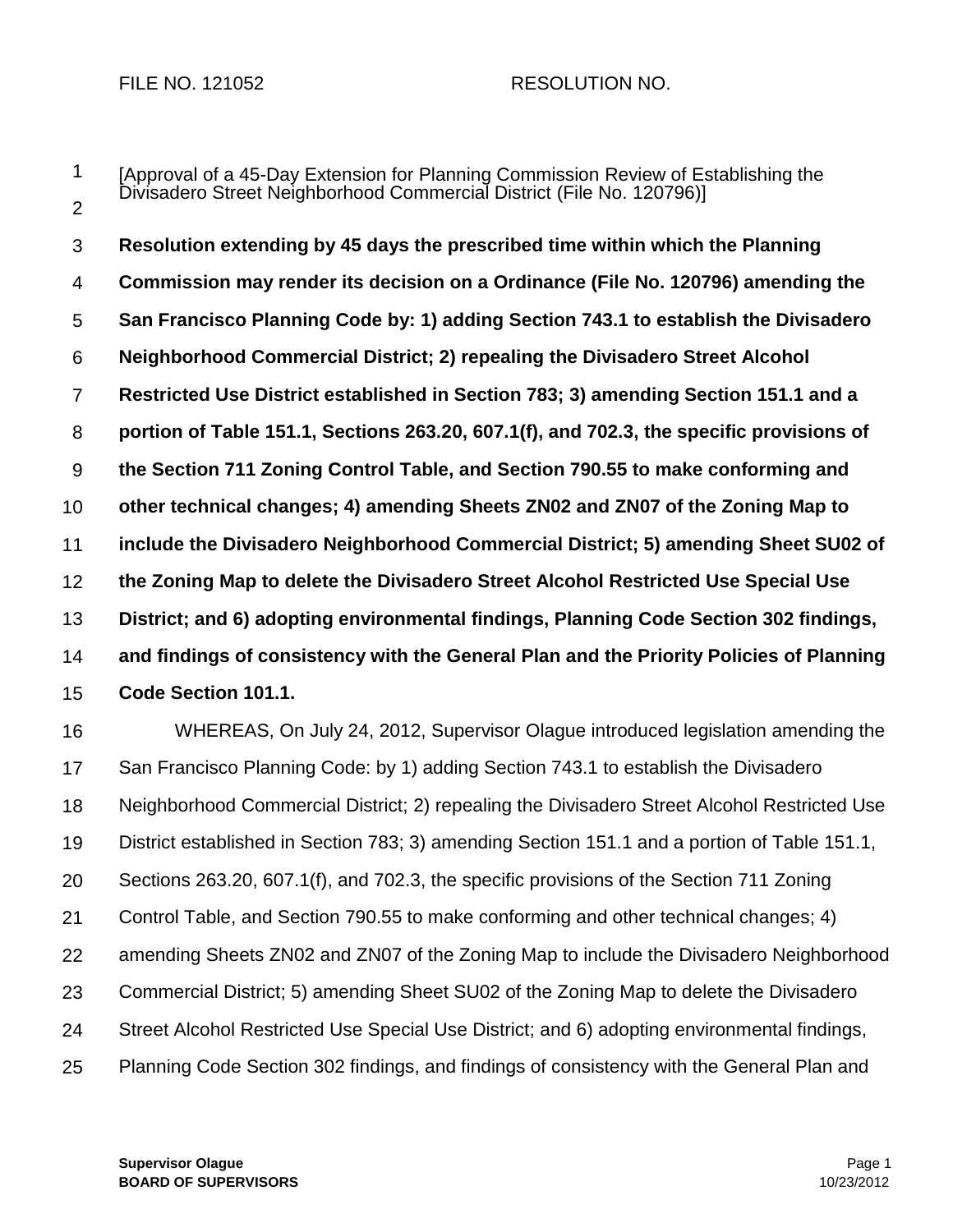## FILE NO. 121052 RESOLUTION NO.

1  $\mathfrak{D}$ [Approval of a 45-Day Extension for Planning Commission Review of Establishing the Divisadero Street Neighborhood Commercial District (File No. 120796)]

3 4 5 6 7 8 9 10 11 12 13 14 15 **Resolution extending by 45 days the prescribed time within which the Planning Commission may render its decision on a Ordinance (File No. 120796) amending the San Francisco Planning Code by: 1) adding Section 743.1 to establish the Divisadero Neighborhood Commercial District; 2) repealing the Divisadero Street Alcohol Restricted Use District established in Section 783; 3) amending Section 151.1 and a portion of Table 151.1, Sections 263.20, 607.1(f), and 702.3, the specific provisions of the Section 711 Zoning Control Table, and Section 790.55 to make conforming and other technical changes; 4) amending Sheets ZN02 and ZN07 of the Zoning Map to include the Divisadero Neighborhood Commercial District; 5) amending Sheet SU02 of the Zoning Map to delete the Divisadero Street Alcohol Restricted Use Special Use District; and 6) adopting environmental findings, Planning Code Section 302 findings, and findings of consistency with the General Plan and the Priority Policies of Planning Code Section 101.1.**

16 17 18 19 20 21 22 23 24 25 WHEREAS, On July 24, 2012, Supervisor Olague introduced legislation amending the San Francisco Planning Code: by 1) adding Section 743.1 to establish the Divisadero Neighborhood Commercial District; 2) repealing the Divisadero Street Alcohol Restricted Use District established in Section 783; 3) amending Section 151.1 and a portion of Table 151.1, Sections 263.20, 607.1(f), and 702.3, the specific provisions of the Section 711 Zoning Control Table, and Section 790.55 to make conforming and other technical changes; 4) amending Sheets ZN02 and ZN07 of the Zoning Map to include the Divisadero Neighborhood Commercial District; 5) amending Sheet SU02 of the Zoning Map to delete the Divisadero Street Alcohol Restricted Use Special Use District; and 6) adopting environmental findings, Planning Code Section 302 findings, and findings of consistency with the General Plan and